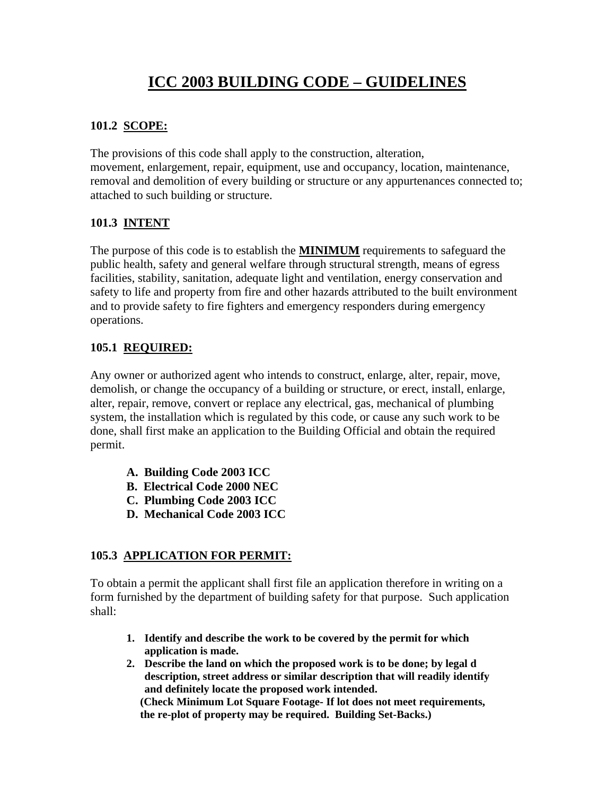# **ICC 2003 BUILDING CODE – GUIDELINES**

# **101.2 SCOPE:**

The provisions of this code shall apply to the construction, alteration, movement, enlargement, repair, equipment, use and occupancy, location, maintenance, removal and demolition of every building or structure or any appurtenances connected to; attached to such building or structure.

#### **101.3 INTENT**

The purpose of this code is to establish the **MINIMUM** requirements to safeguard the public health, safety and general welfare through structural strength, means of egress facilities, stability, sanitation, adequate light and ventilation, energy conservation and safety to life and property from fire and other hazards attributed to the built environment and to provide safety to fire fighters and emergency responders during emergency operations.

#### **105.1 REQUIRED:**

Any owner or authorized agent who intends to construct, enlarge, alter, repair, move, demolish, or change the occupancy of a building or structure, or erect, install, enlarge, alter, repair, remove, convert or replace any electrical, gas, mechanical of plumbing system, the installation which is regulated by this code, or cause any such work to be done, shall first make an application to the Building Official and obtain the required permit.

- **A. Building Code 2003 ICC**
- **B. Electrical Code 2000 NEC**
- **C. Plumbing Code 2003 ICC**
- **D. Mechanical Code 2003 ICC**

# **105.3 APPLICATION FOR PERMIT:**

To obtain a permit the applicant shall first file an application therefore in writing on a form furnished by the department of building safety for that purpose. Such application shall:

- **1. Identify and describe the work to be covered by the permit for which application is made.**
- **2. Describe the land on which the proposed work is to be done; by legal d description, street address or similar description that will readily identify and definitely locate the proposed work intended. (Check Minimum Lot Square Footage- If lot does not meet requirements, the re-plot of property may be required. Building Set-Backs.)**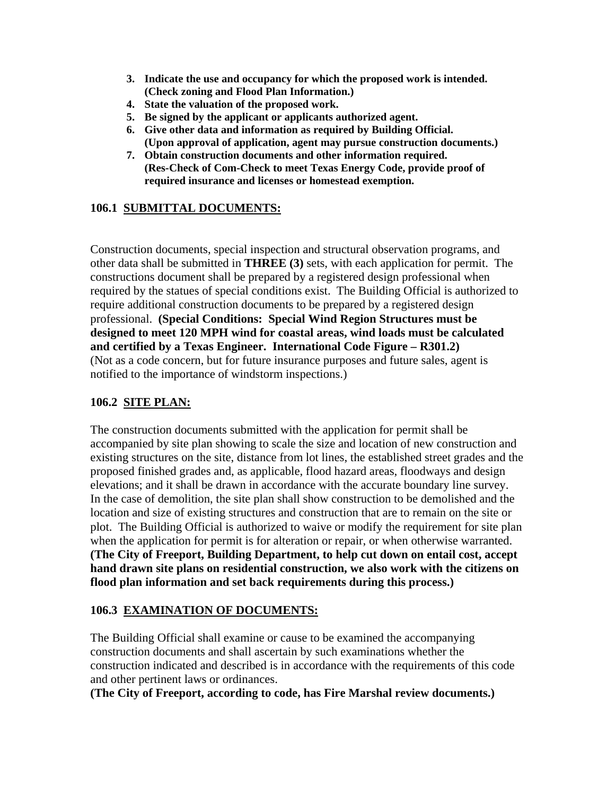- **3. Indicate the use and occupancy for which the proposed work is intended. (Check zoning and Flood Plan Information.)**
- **4. State the valuation of the proposed work.**
- **5. Be signed by the applicant or applicants authorized agent.**
- **6. Give other data and information as required by Building Official. (Upon approval of application, agent may pursue construction documents.)**
- **7. Obtain construction documents and other information required. (Res-Check of Com-Check to meet Texas Energy Code, provide proof of required insurance and licenses or homestead exemption.**

# **106.1 SUBMITTAL DOCUMENTS:**

Construction documents, special inspection and structural observation programs, and other data shall be submitted in **THREE (3)** sets, with each application for permit. The constructions document shall be prepared by a registered design professional when required by the statues of special conditions exist. The Building Official is authorized to require additional construction documents to be prepared by a registered design professional. **(Special Conditions: Special Wind Region Structures must be designed to meet 120 MPH wind for coastal areas, wind loads must be calculated and certified by a Texas Engineer. International Code Figure – R301.2)** (Not as a code concern, but for future insurance purposes and future sales, agent is notified to the importance of windstorm inspections.)

# **106.2 SITE PLAN:**

The construction documents submitted with the application for permit shall be accompanied by site plan showing to scale the size and location of new construction and existing structures on the site, distance from lot lines, the established street grades and the proposed finished grades and, as applicable, flood hazard areas, floodways and design elevations; and it shall be drawn in accordance with the accurate boundary line survey. In the case of demolition, the site plan shall show construction to be demolished and the location and size of existing structures and construction that are to remain on the site or plot. The Building Official is authorized to waive or modify the requirement for site plan when the application for permit is for alteration or repair, or when otherwise warranted. **(The City of Freeport, Building Department, to help cut down on entail cost, accept hand drawn site plans on residential construction, we also work with the citizens on flood plan information and set back requirements during this process.)**

#### **106.3 EXAMINATION OF DOCUMENTS:**

The Building Official shall examine or cause to be examined the accompanying construction documents and shall ascertain by such examinations whether the construction indicated and described is in accordance with the requirements of this code and other pertinent laws or ordinances.

**(The City of Freeport, according to code, has Fire Marshal review documents.)**